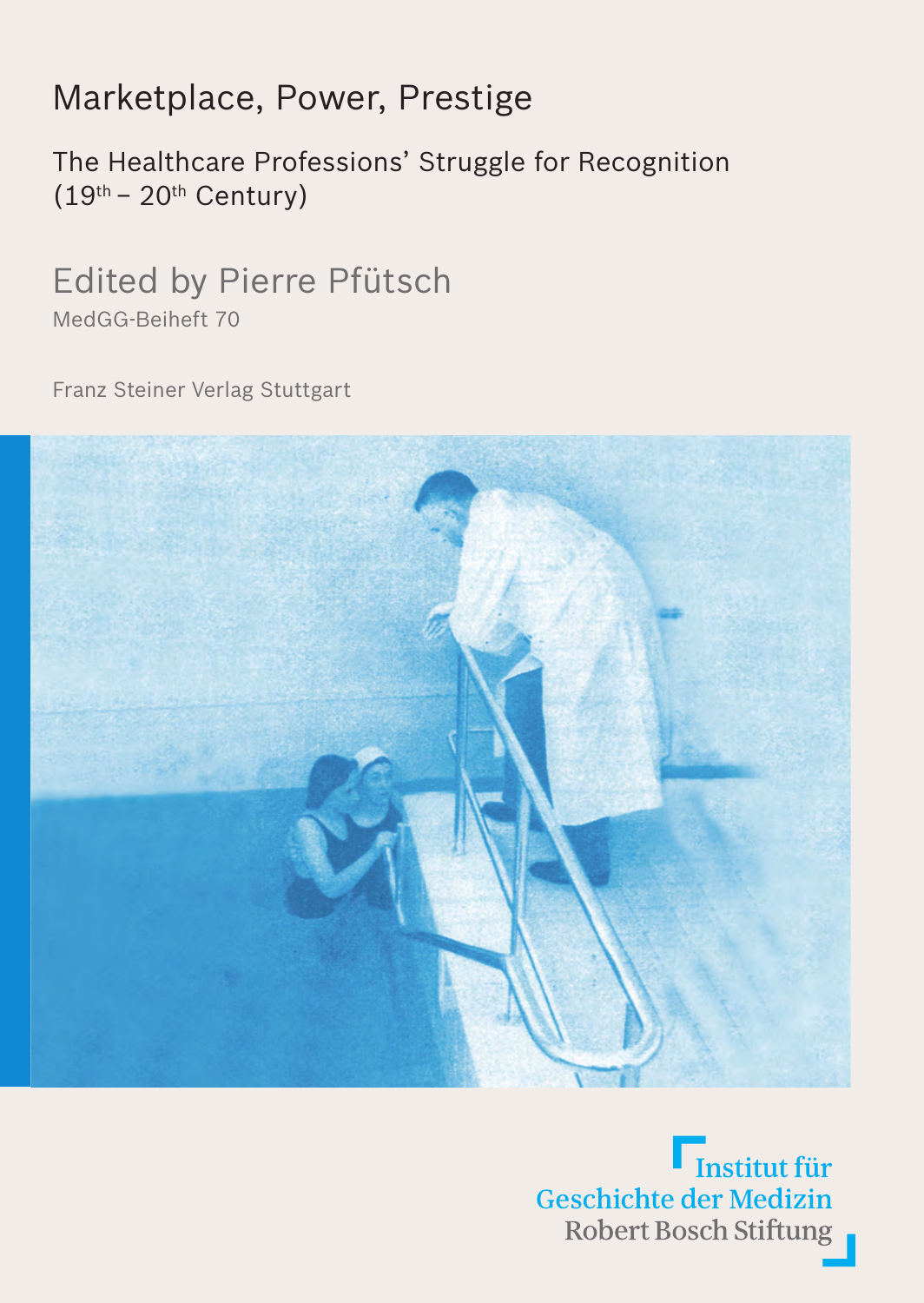### Marketplace, Power, Prestige

The Healthcare Professions' Struggle for Recognition (19th − 20th Century)

# Edited by Pierre Pfütsch

MedGG-Beiheft 70

Franz Steiner Verlag Stuttgart



Institut für **Geschichte der Medizin Robert Bosch Stiftung**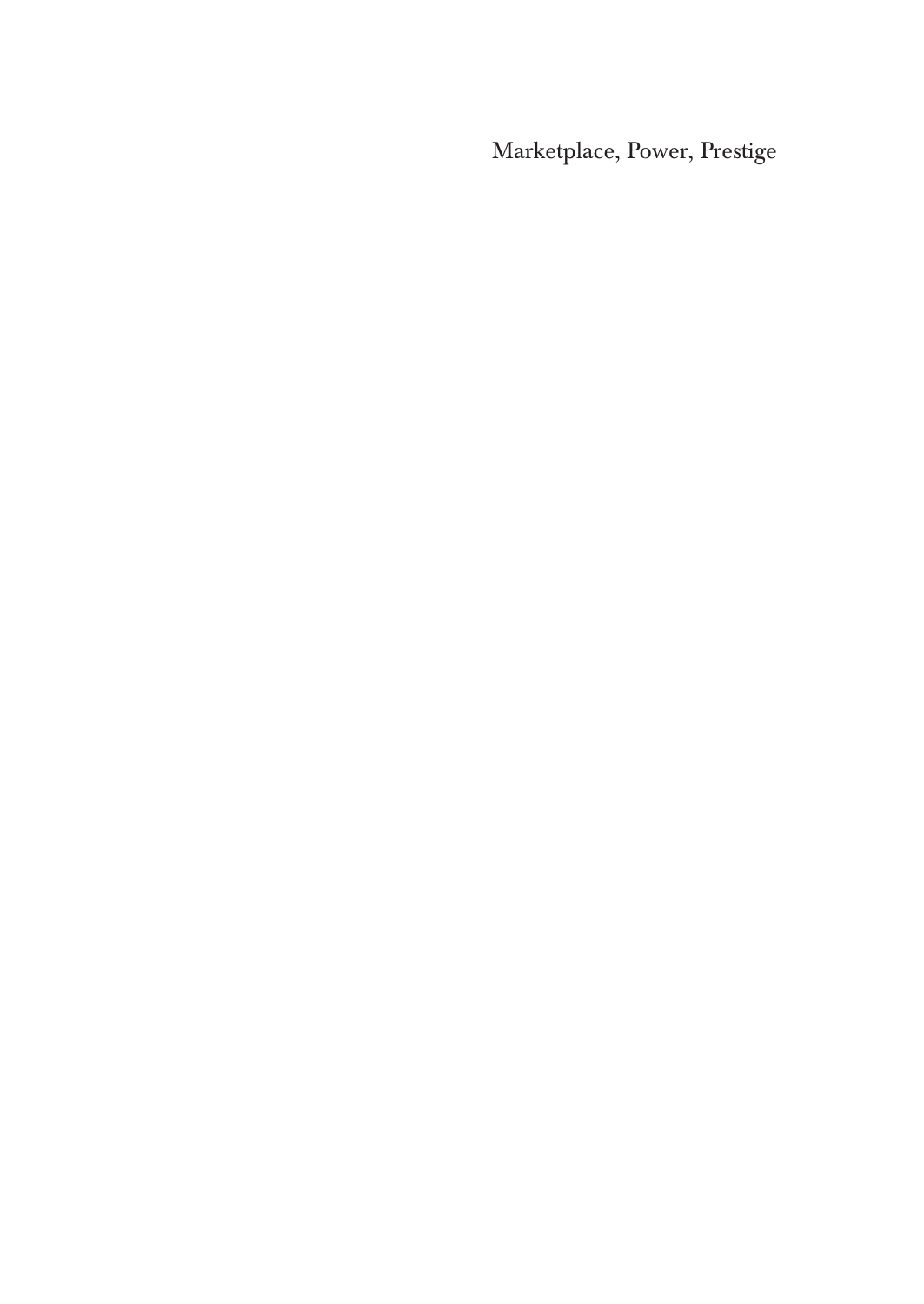Marketplace, Power, Prestige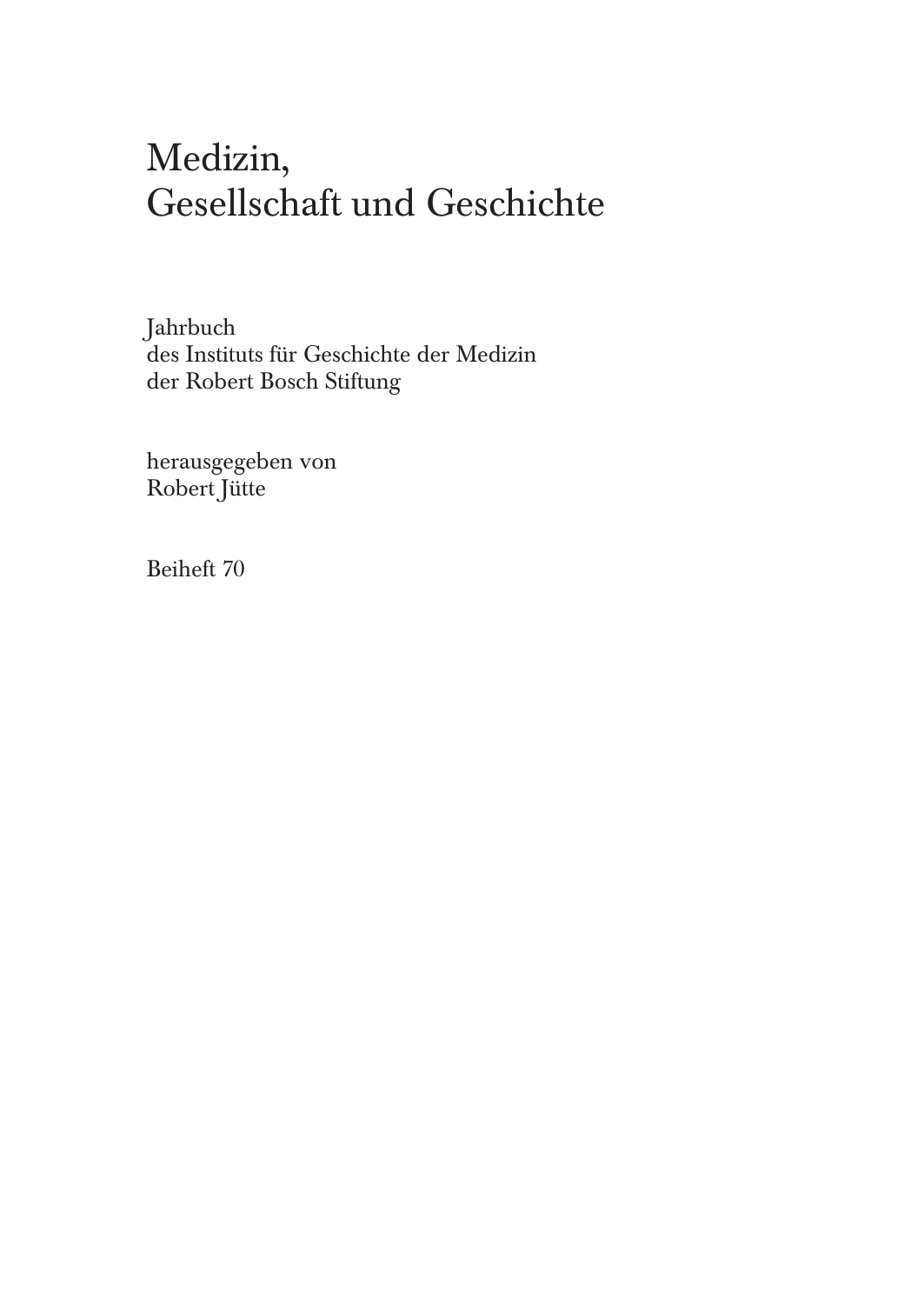## Medizin, Gesellschaft und Geschichte

Jahrbuch des Instituts für Geschichte der Medizin der Robert Bosch Stiftung

herausgegeben von Robert Jütte

Beiheft 70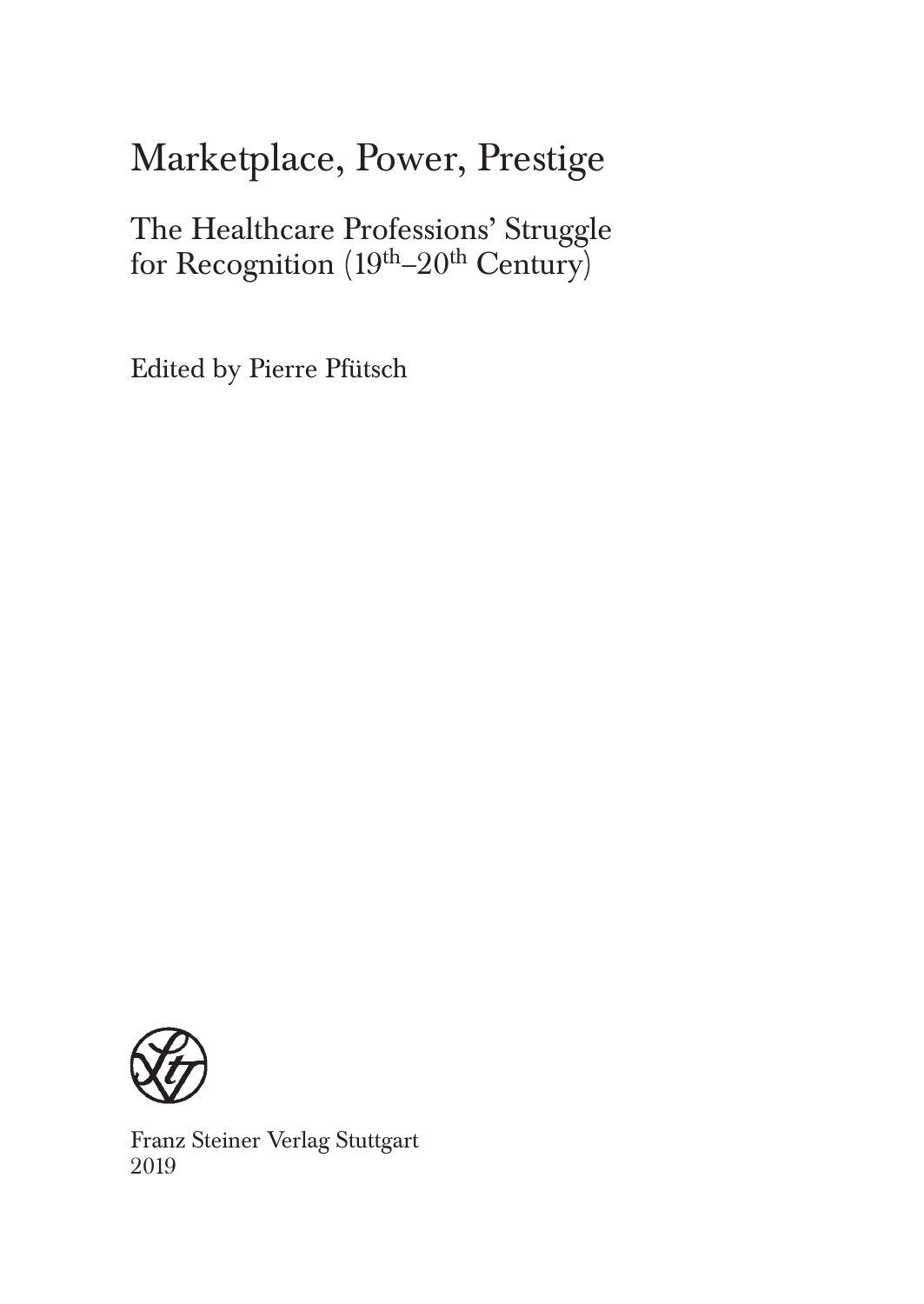## Marketplace, Power, Prestige

The Healthcare Professions' Struggle for Recognition  $(19^{\text{th}}–20^{\text{th}}$  Century)

Edited by Pierre Pfütsch



Franz Steiner Verlag Stuttgart 2019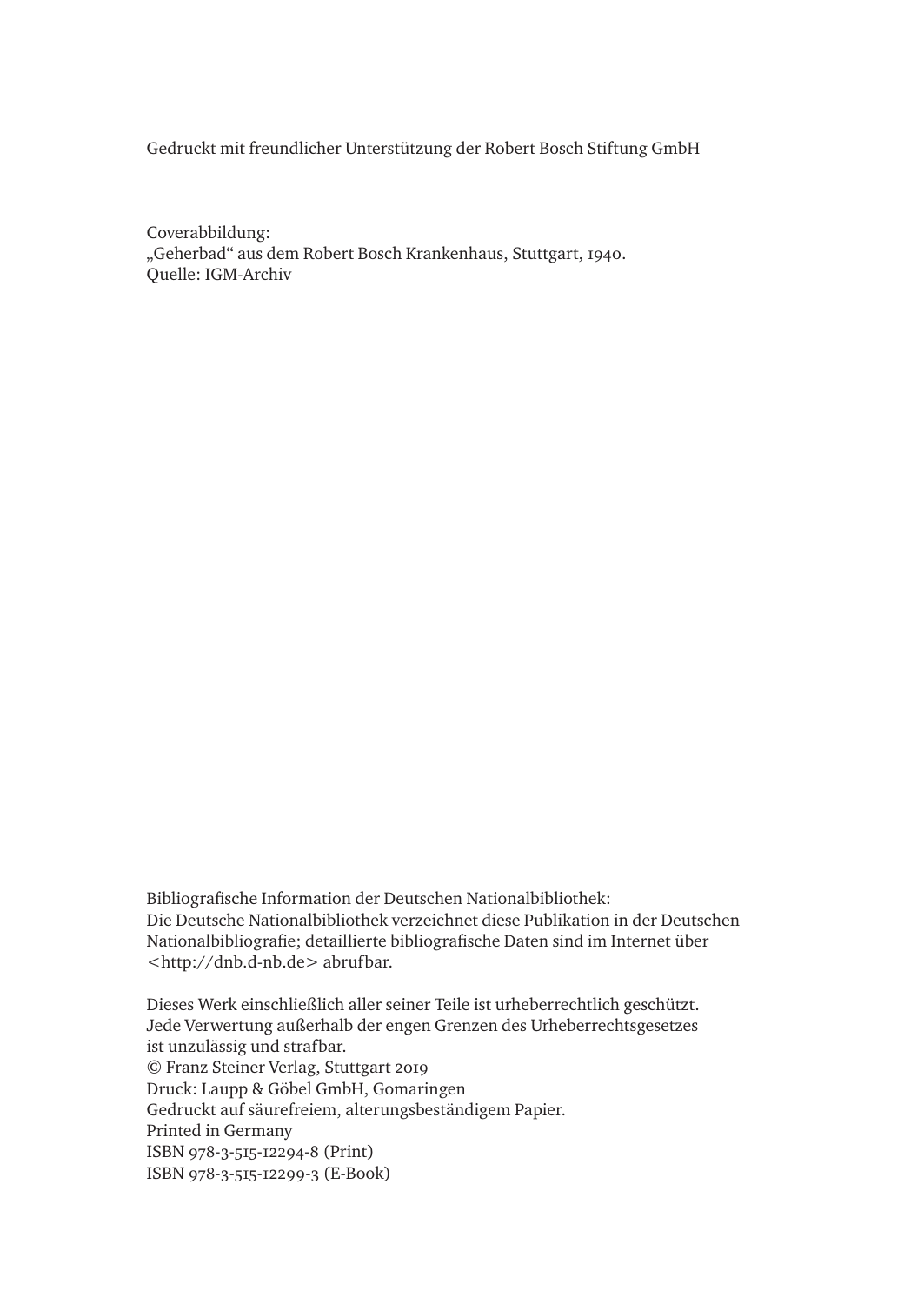Gedruckt mit freundlicher Unterstützung der Robert Bosch Stiftung GmbH

Coverabbildung: "Geherbad" aus dem Robert Bosch Krankenhaus, Stuttgart, 1940. Quelle: IGM-Archiv

Bibliografische Information der Deutschen Nationalbibliothek: Die Deutsche Nationalbibliothek verzeichnet diese Publikation in der Deutschen Nationalbibliografie; detaillierte bibliografische Daten sind im Internet über <http://dnb.d-nb.de> abrufbar.

Dieses Werk einschließlich aller seiner Teile ist urheberrechtlich geschützt. Jede Verwertung außerhalb der engen Grenzen des Urheberrechtsgesetzes ist unzulässig und strafbar. © Franz Steiner Verlag, Stuttgart 2019 Druck: Laupp & Göbel GmbH, Gomaringen Gedruckt auf säurefreiem, alterungsbeständigem Papier. Printed in Germany ISBN 978-3-515-12294-8 (Print) ISBN 978-3-515-12299-3 (E-Book)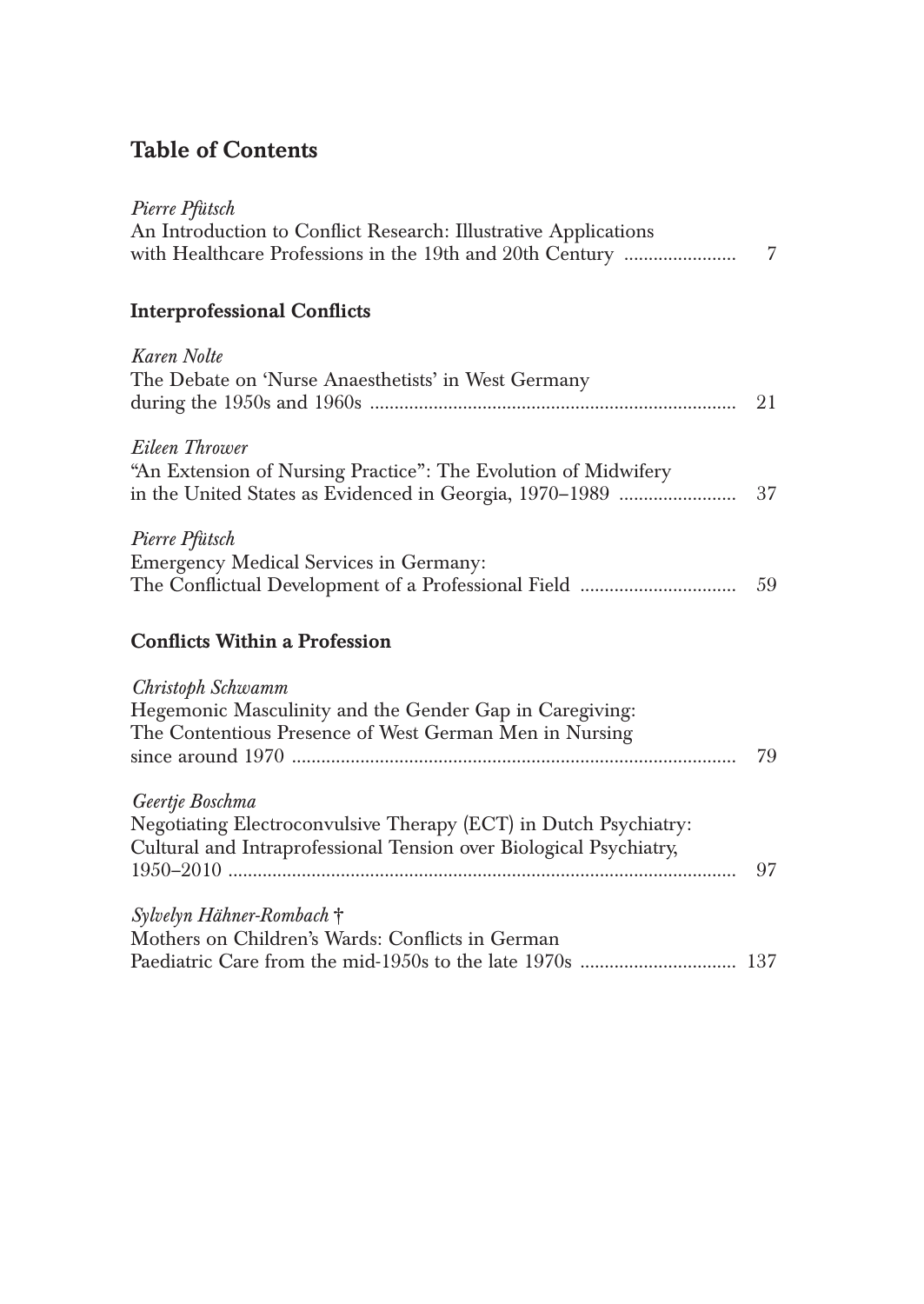### Table of Contents

| Pierre Pfütsch<br>An Introduction to Conflict Research: Illustrative Applications<br>with Healthcare Professions in the 19th and 20th Century             | 7  |
|-----------------------------------------------------------------------------------------------------------------------------------------------------------|----|
| <b>Interprofessional Conflicts</b>                                                                                                                        |    |
| Karen Nolte<br>The Debate on 'Nurse Anaesthetists' in West Germany                                                                                        | 21 |
| Eileen Thrower<br>"An Extension of Nursing Practice": The Evolution of Midwifery<br>in the United States as Evidenced in Georgia, 1970–1989               | 37 |
| Pierre Pfütsch<br><b>Emergency Medical Services in Germany:</b>                                                                                           | 59 |
| <b>Conflicts Within a Profession</b>                                                                                                                      |    |
| Christoph Schwamm<br>Hegemonic Masculinity and the Gender Gap in Caregiving:<br>The Contentious Presence of West German Men in Nursing                    | 79 |
| Geertje Boschma<br>Negotiating Electroconvulsive Therapy (ECT) in Dutch Psychiatry:<br>Cultural and Intraprofessional Tension over Biological Psychiatry, | 97 |
| Sylvelyn Hähner-Rombach †<br>Mothers on Children's Wards: Conflicts in German                                                                             |    |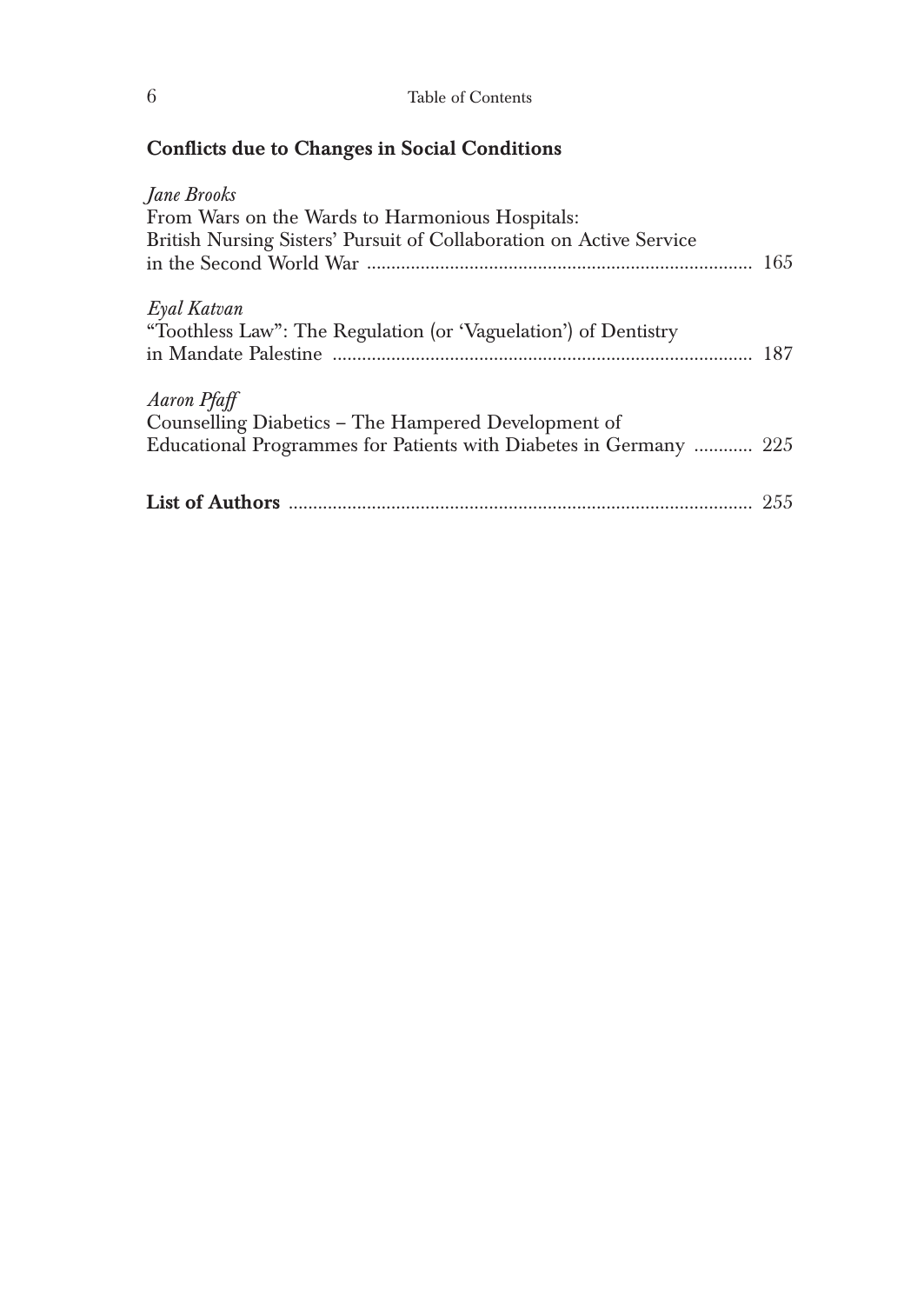### Conflicts due to Changes in Social Conditions

| Jane Brooks                                                                                                              |  |
|--------------------------------------------------------------------------------------------------------------------------|--|
| From Wars on the Wards to Harmonious Hospitals:                                                                          |  |
| British Nursing Sisters' Pursuit of Collaboration on Active Service                                                      |  |
|                                                                                                                          |  |
| Eyal Katvan<br>"Toothless Law": The Regulation (or 'Vaguelation') of Dentistry                                           |  |
| Aaron Pfaff                                                                                                              |  |
| Counselling Diabetics - The Hampered Development of<br>Educational Programmes for Patients with Diabetes in Germany  225 |  |
|                                                                                                                          |  |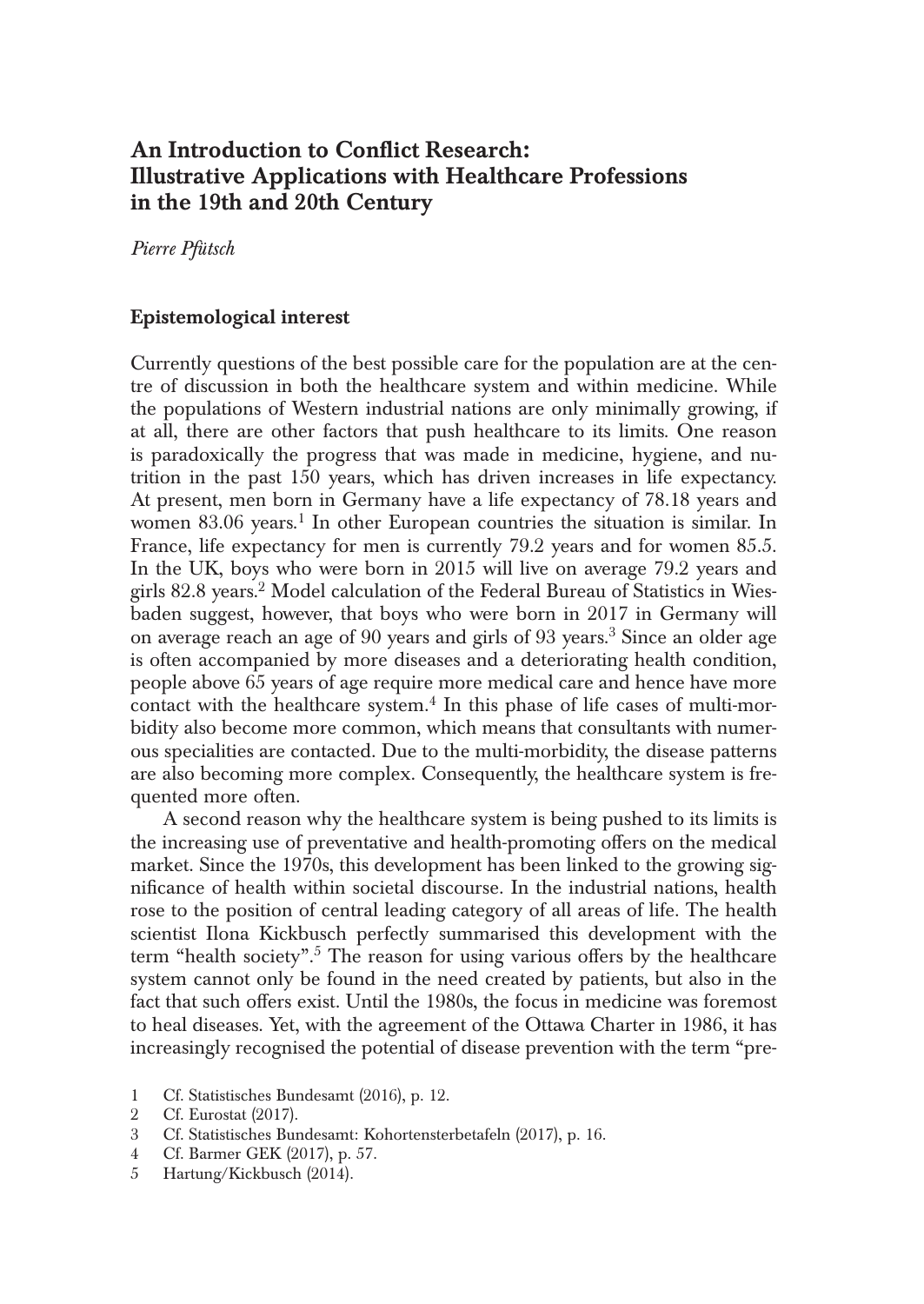### An Introduction to Conflict Research: Illustrative Applications with Healthcare Professions in the 19th and 20th Century

*Pierre Pfütsch*

#### Epistemological interest

Currently questions of the best possible care for the population are at the centre of discussion in both the healthcare system and within medicine. While the populations of Western industrial nations are only minimally growing, if at all, there are other factors that push healthcare to its limits. One reason is paradoxically the progress that was made in medicine, hygiene, and nutrition in the past 150 years, which has driven increases in life expectancy. At present, men born in Germany have a life expectancy of 78.18 years and women 83.06 years.<sup>1</sup> In other European countries the situation is similar. In France, life expectancy for men is currently 79.2 years and for women 85.5. In the UK, boys who were born in 2015 will live on average 79.2 years and girls 82.8 years.2 Model calculation of the Federal Bureau of Statistics in Wiesbaden suggest, however, that boys who were born in 2017 in Germany will on average reach an age of 90 years and girls of 93 years.3 Since an older age is often accompanied by more diseases and a deteriorating health condition, people above 65 years of age require more medical care and hence have more contact with the healthcare system.<sup>4</sup> In this phase of life cases of multi-morbidity also become more common, which means that consultants with numerous specialities are contacted. Due to the multi-morbidity, the disease patterns are also becoming more complex. Consequently, the healthcare system is frequented more often.

A second reason why the healthcare system is being pushed to its limits is the increasing use of preventative and health-promoting offers on the medical market. Since the 1970s, this development has been linked to the growing significance of health within societal discourse. In the industrial nations, health rose to the position of central leading category of all areas of life. The health scientist Ilona Kickbusch perfectly summarised this development with the term "health society".<sup>5</sup> The reason for using various offers by the healthcare system cannot only be found in the need created by patients, but also in the fact that such offers exist. Until the 1980s, the focus in medicine was foremost to heal diseases. Yet, with the agreement of the Ottawa Charter in 1986, it has increasingly recognised the potential of disease prevention with the term "pre-

- 1 Cf. Statistisches Bundesamt (2016), p. 12.
- 2 Cf. Eurostat (2017).
- 3 Cf. Statistisches Bundesamt: Kohortensterbetafeln (2017), p. 16.
- 4 Cf. Barmer GEK (2017), p. 57.
- 5 Hartung/Kickbusch (2014).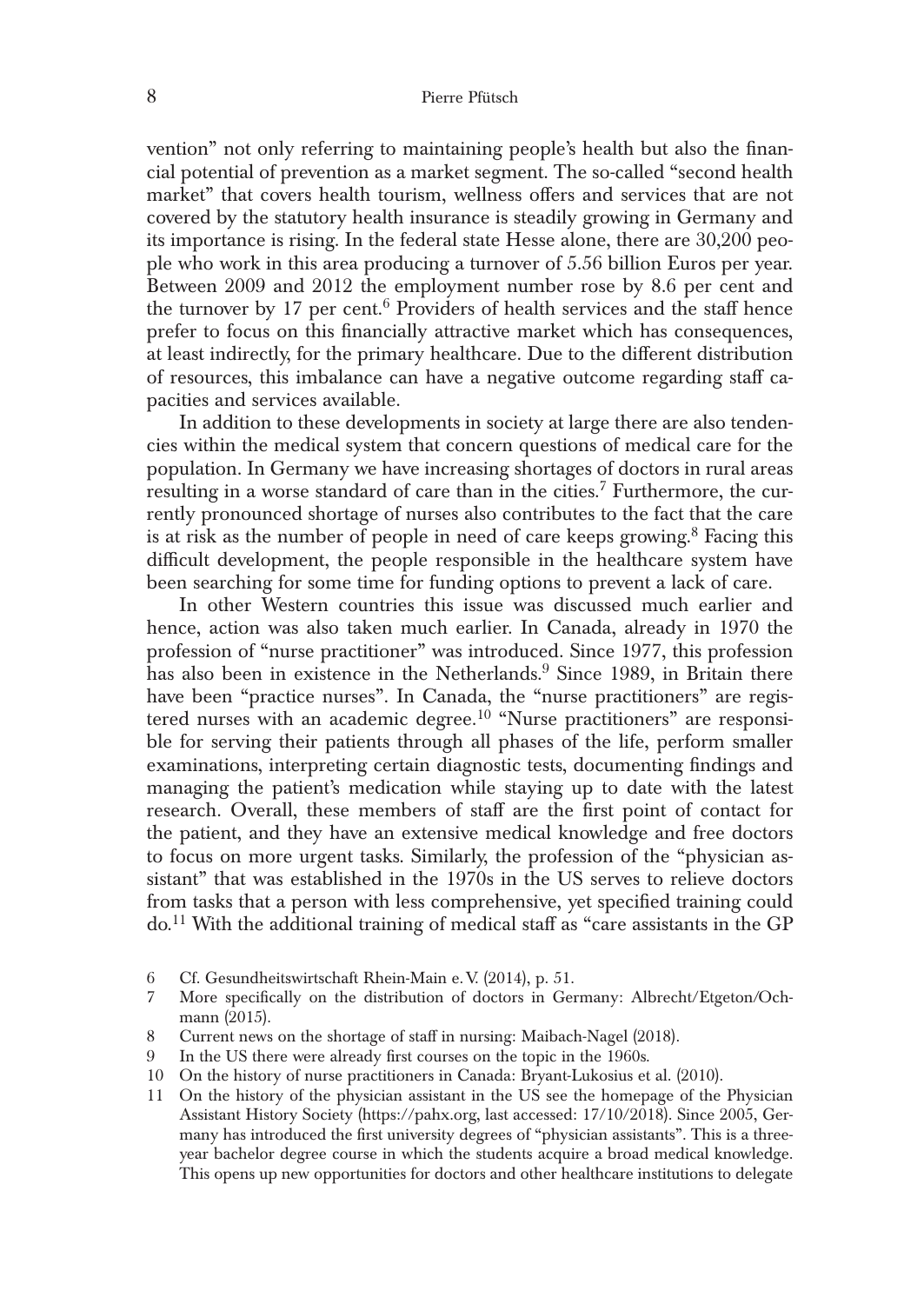vention" not only referring to maintaining people's health but also the financial potential of prevention as a market segment. The so-called "second health market" that covers health tourism, wellness offers and services that are not covered by the statutory health insurance is steadily growing in Germany and its importance is rising. In the federal state Hesse alone, there are 30,200 people who work in this area producing a turnover of 5.56 billion Euros per year. Between 2009 and 2012 the employment number rose by 8.6 per cent and the turnover by 17 per cent.<sup>6</sup> Providers of health services and the staff hence prefer to focus on this financially attractive market which has consequences, at least indirectly, for the primary healthcare. Due to the different distribution of resources, this imbalance can have a negative outcome regarding staff capacities and services available.

In addition to these developments in society at large there are also tendencies within the medical system that concern questions of medical care for the population. In Germany we have increasing shortages of doctors in rural areas resulting in a worse standard of care than in the cities.<sup>7</sup> Furthermore, the currently pronounced shortage of nurses also contributes to the fact that the care is at risk as the number of people in need of care keeps growing.<sup>8</sup> Facing this difficult development, the people responsible in the healthcare system have been searching for some time for funding options to prevent a lack of care.

In other Western countries this issue was discussed much earlier and hence, action was also taken much earlier. In Canada, already in 1970 the profession of "nurse practitioner" was introduced. Since 1977, this profession has also been in existence in the Netherlands. $9$  Since 1989, in Britain there have been "practice nurses". In Canada, the "nurse practitioners" are registered nurses with an academic degree.<sup>10</sup> "Nurse practitioners" are responsible for serving their patients through all phases of the life, perform smaller examinations, interpreting certain diagnostic tests, documenting findings and managing the patient's medication while staying up to date with the latest research. Overall, these members of staff are the first point of contact for the patient, and they have an extensive medical knowledge and free doctors to focus on more urgent tasks. Similarly, the profession of the "physician assistant" that was established in the 1970s in the US serves to relieve doctors from tasks that a person with less comprehensive, yet specified training could  $\rm{do}^{11}$  With the additional training of medical staff as "care assistants in the GP

- 6 Cf. Gesundheitswirtschaft Rhein-Main e.V. (2014), p. 51.
- 7 More specifically on the distribution of doctors in Germany: Albrecht/Etgeton/Ochmann (2015).
- 8 Current news on the shortage of staff in nursing: Maibach-Nagel (2018).
- 9 In the US there were already first courses on the topic in the 1960s.
- 10 On the history of nurse practitioners in Canada: Bryant-Lukosius et al. (2010).
- 11 On the history of the physician assistant in the US see the homepage of the Physician Assistant History Society (https://pahx.org, last accessed: 17/10/2018). Since 2005, Germany has introduced the first university degrees of "physician assistants". This is a threeyear bachelor degree course in which the students acquire a broad medical knowledge. This opens up new opportunities for doctors and other healthcare institutions to delegate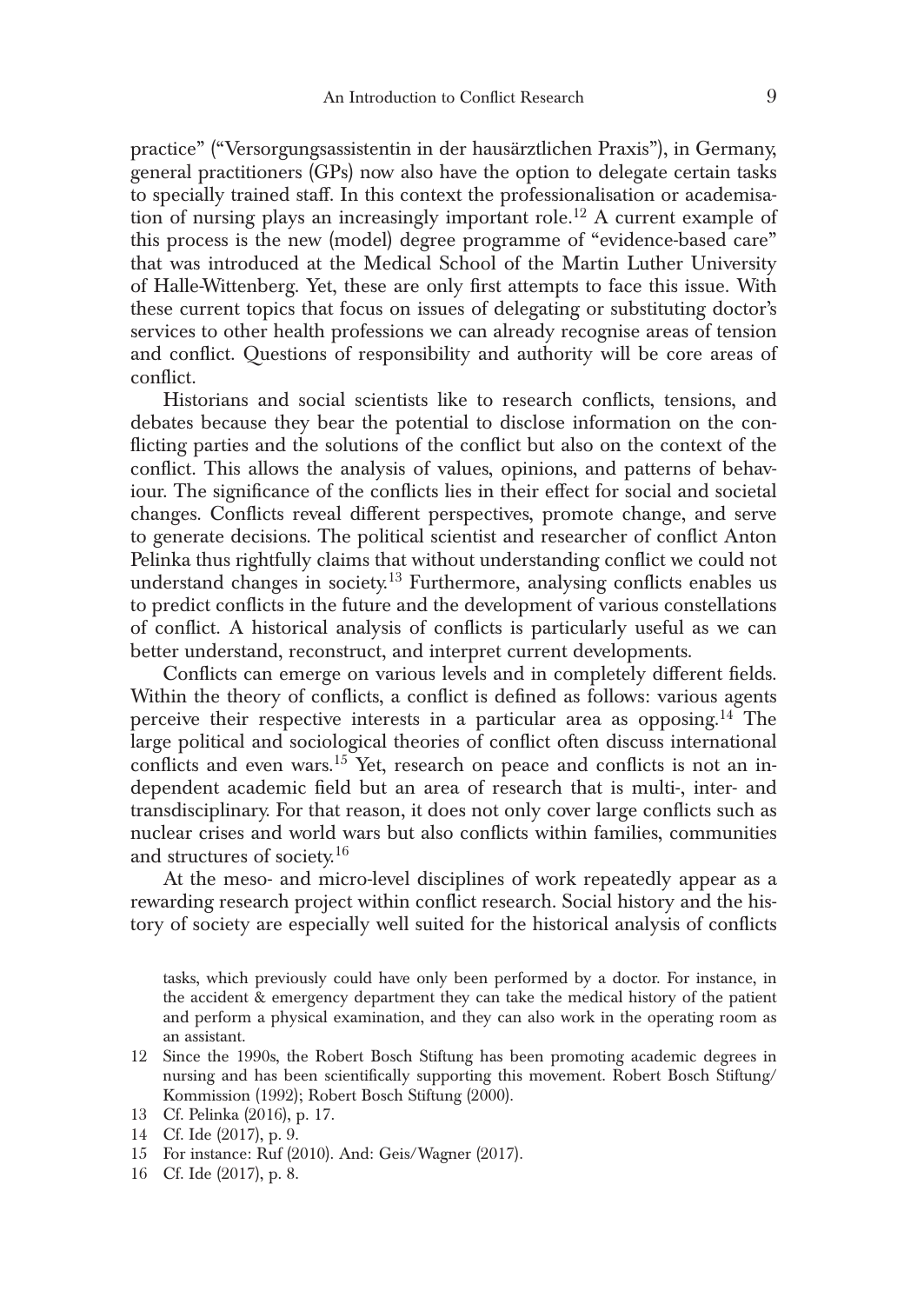practice" ("Versorgungsassistentin in der hausärztlichen Praxis"), in Germany, general practitioners (GPs) now also have the option to delegate certain tasks to specially trained staff. In this context the professionalisation or academisation of nursing plays an increasingly important role.12 A current example of this process is the new (model) degree programme of "evidence-based care" that was introduced at the Medical School of the Martin Luther University of Halle-Wittenberg. Yet, these are only first attempts to face this issue. With these current topics that focus on issues of delegating or substituting doctor's services to other health professions we can already recognise areas of tension and conflict. Questions of responsibility and authority will be core areas of conflict.

Historians and social scientists like to research conflicts, tensions, and debates because they bear the potential to disclose information on the conflicting parties and the solutions of the conflict but also on the context of the conflict. This allows the analysis of values, opinions, and patterns of behaviour. The significance of the conflicts lies in their effect for social and societal changes. Conflicts reveal different perspectives, promote change, and serve to generate decisions. The political scientist and researcher of conflict Anton Pelinka thus rightfully claims that without understanding conflict we could not understand changes in society.<sup>13</sup> Furthermore, analysing conflicts enables us to predict conflicts in the future and the development of various constellations of conflict. A historical analysis of conflicts is particularly useful as we can better understand, reconstruct, and interpret current developments.

Conflicts can emerge on various levels and in completely different fields. Within the theory of conflicts, a conflict is defined as follows: various agents perceive their respective interests in a particular area as opposing.14 The large political and sociological theories of conflict often discuss international conflicts and even wars.<sup>15</sup> Yet, research on peace and conflicts is not an independent academic field but an area of research that is multi-, inter- and transdisciplinary. For that reason, it does not only cover large conflicts such as nuclear crises and world wars but also conflicts within families, communities and structures of society.16

At the meso- and micro-level disciplines of work repeatedly appear as a rewarding research project within conflict research. Social history and the history of society are especially well suited for the historical analysis of conflicts

tasks, which previously could have only been performed by a doctor. For instance, in the accident & emergency department they can take the medical history of the patient and perform a physical examination, and they can also work in the operating room as an assistant.

- 12 Since the 1990s, the Robert Bosch Stiftung has been promoting academic degrees in nursing and has been scientifically supporting this movement. Robert Bosch Stiftung/ Kommission (1992); Robert Bosch Stiftung (2000).
- 13 Cf. Pelinka (2016), p. 17.
- 14 Cf. Ide (2017), p. 9.
- 15 For instance: Ruf (2010). And: Geis/Wagner (2017).
- 16 Cf. Ide (2017), p. 8.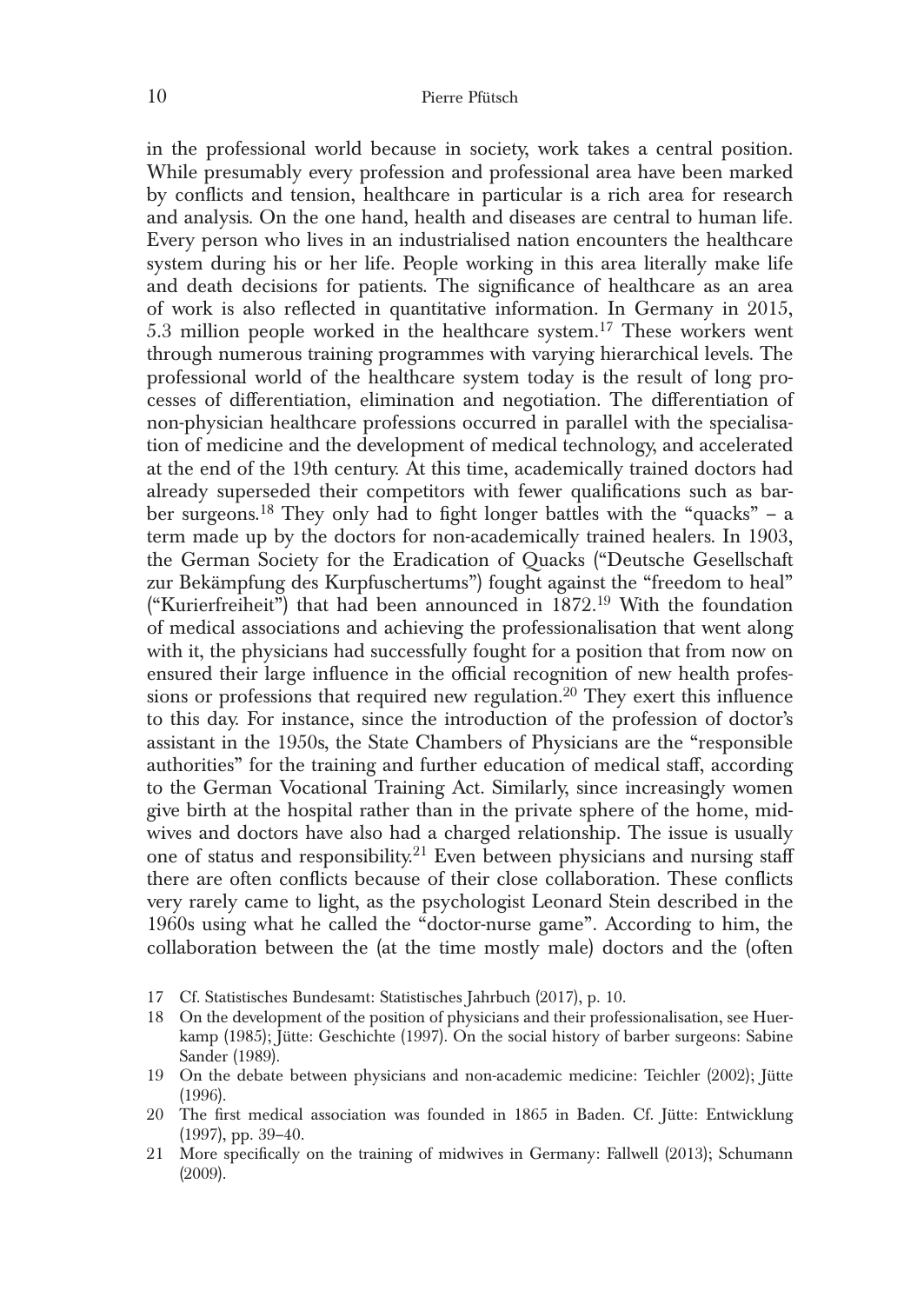in the professional world because in society, work takes a central position. While presumably every profession and professional area have been marked by conflicts and tension, healthcare in particular is a rich area for research and analysis. On the one hand, health and diseases are central to human life. Every person who lives in an industrialised nation encounters the healthcare system during his or her life. People working in this area literally make life and death decisions for patients. The significance of healthcare as an area of work is also reflected in quantitative information. In Germany in 2015, 5.3 million people worked in the healthcare system.17 These workers went through numerous training programmes with varying hierarchical levels. The professional world of the healthcare system today is the result of long processes of differentiation, elimination and negotiation. The differentiation of non-physician healthcare professions occurred in parallel with the specialisation of medicine and the development of medical technology, and accelerated at the end of the 19th century. At this time, academically trained doctors had already superseded their competitors with fewer qualifications such as barber surgeons.<sup>18</sup> They only had to fight longer battles with the "quacks" – a term made up by the doctors for non-academically trained healers. In 1903, the German Society for the Eradication of Quacks ("Deutsche Gesellschaft zur Bekämpfung des Kurpfuschertums") fought against the "freedom to heal" ("Kurierfreiheit") that had been announced in 1872.19 With the foundation of medical associations and achieving the professionalisation that went along with it, the physicians had successfully fought for a position that from now on ensured their large influence in the official recognition of new health professions or professions that required new regulation.<sup>20</sup> They exert this influence to this day. For instance, since the introduction of the profession of doctor's assistant in the 1950s, the State Chambers of Physicians are the "responsible authorities" for the training and further education of medical staff, according to the German Vocational Training Act. Similarly, since increasingly women give birth at the hospital rather than in the private sphere of the home, midwives and doctors have also had a charged relationship. The issue is usually one of status and responsibility.<sup>21</sup> Even between physicians and nursing staff there are often conflicts because of their close collaboration. These conflicts very rarely came to light, as the psychologist Leonard Stein described in the 1960s using what he called the "doctor-nurse game". According to him, the collaboration between the (at the time mostly male) doctors and the (often

- 17 Cf. Statistisches Bundesamt: Statistisches Jahrbuch (2017), p. 10.
- 18 On the development of the position of physicians and their professionalisation, see Huerkamp (1985); Jütte: Geschichte (1997). On the social history of barber surgeons: Sabine Sander (1989).
- 19 On the debate between physicians and non-academic medicine: Teichler (2002); Jütte (1996).
- 20 The first medical association was founded in 1865 in Baden. Cf. Jütte: Entwicklung (1997), pp. 39–40.
- 21 More specifically on the training of midwives in Germany: Fallwell (2013); Schumann (2009).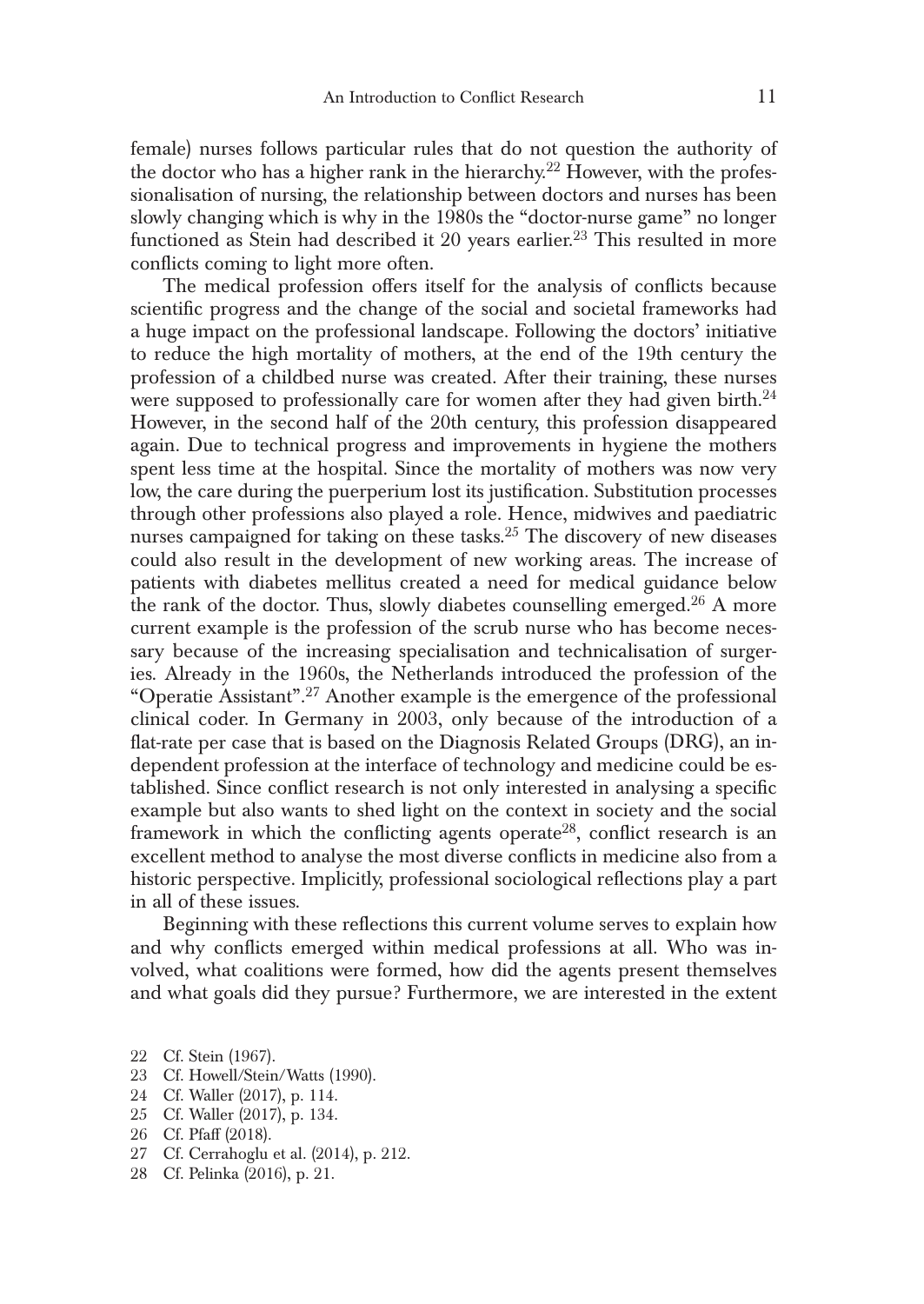female) nurses follows particular rules that do not question the authority of the doctor who has a higher rank in the hierarchy.<sup>22</sup> However, with the professionalisation of nursing, the relationship between doctors and nurses has been slowly changing which is why in the 1980s the "doctor-nurse game" no longer functioned as Stein had described it 20 years earlier.<sup>23</sup> This resulted in more conflicts coming to light more often.

The medical profession offers itself for the analysis of conflicts because scientific progress and the change of the social and societal frameworks had a huge impact on the professional landscape. Following the doctors' initiative to reduce the high mortality of mothers, at the end of the 19th century the profession of a childbed nurse was created. After their training, these nurses were supposed to professionally care for women after they had given birth.<sup>24</sup> However, in the second half of the 20th century, this profession disappeared again. Due to technical progress and improvements in hygiene the mothers spent less time at the hospital. Since the mortality of mothers was now very low, the care during the puerperium lost its justification. Substitution processes through other professions also played a role. Hence, midwives and paediatric nurses campaigned for taking on these tasks.<sup>25</sup> The discovery of new diseases could also result in the development of new working areas. The increase of patients with diabetes mellitus created a need for medical guidance below the rank of the doctor. Thus, slowly diabetes counselling emerged.<sup>26</sup> A more current example is the profession of the scrub nurse who has become necessary because of the increasing specialisation and technicalisation of surgeries. Already in the 1960s, the Netherlands introduced the profession of the "Operatie Assistant".27 Another example is the emergence of the professional clinical coder. In Germany in 2003, only because of the introduction of a flat-rate per case that is based on the Diagnosis Related Groups (DRG), an independent profession at the interface of technology and medicine could be established. Since conflict research is not only interested in analysing a specific example but also wants to shed light on the context in society and the social framework in which the conflicting agents operate<sup>28</sup>, conflict research is an excellent method to analyse the most diverse conflicts in medicine also from a historic perspective. Implicitly, professional sociological reflections play a part in all of these issues.

Beginning with these reflections this current volume serves to explain how and why conflicts emerged within medical professions at all. Who was involved, what coalitions were formed, how did the agents present themselves and what goals did they pursue? Furthermore, we are interested in the extent

- 23 Cf. Howell/Stein/Watts (1990).
- 24 Cf. Waller (2017), p. 114.
- 25 Cf. Waller (2017), p. 134.
- 26 Cf. Pfaff (2018).
- 27 Cf. Cerrahoglu et al. (2014), p. 212.
- 28 Cf. Pelinka (2016), p. 21.

<sup>22</sup> Cf. Stein (1967).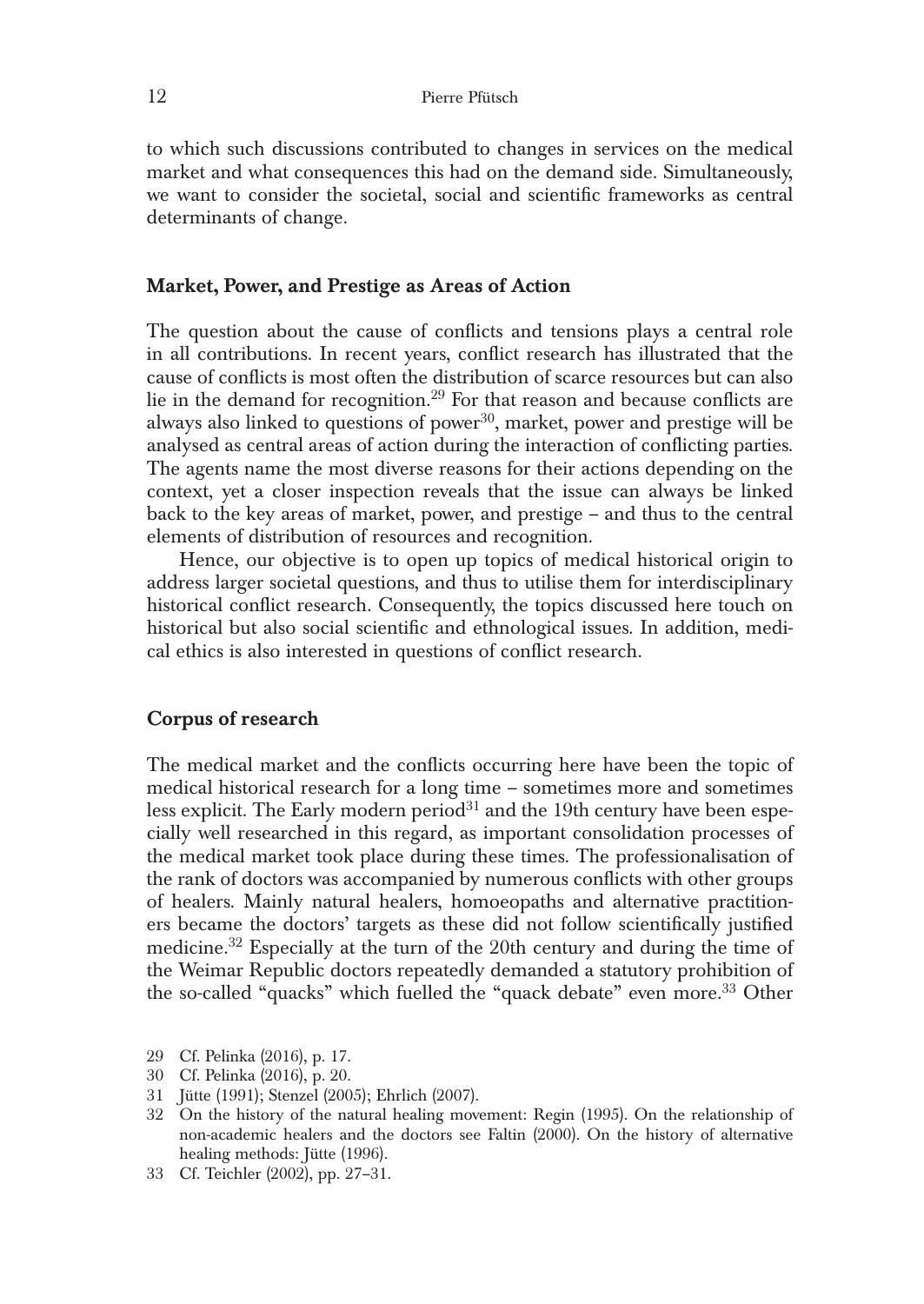to which such discussions contributed to changes in services on the medical market and what consequences this had on the demand side. Simultaneously, we want to consider the societal, social and scientific frameworks as central determinants of change.

#### Market, Power, and Prestige as Areas of Action

The question about the cause of conflicts and tensions plays a central role in all contributions. In recent years, conflict research has illustrated that the cause of conflicts is most often the distribution of scarce resources but can also lie in the demand for recognition.29 For that reason and because conflicts are always also linked to questions of power $30$ , market, power and prestige will be analysed as central areas of action during the interaction of conflicting parties. The agents name the most diverse reasons for their actions depending on the context, yet a closer inspection reveals that the issue can always be linked back to the key areas of market, power, and prestige – and thus to the central elements of distribution of resources and recognition.

Hence, our objective is to open up topics of medical historical origin to address larger societal questions, and thus to utilise them for interdisciplinary historical conflict research. Consequently, the topics discussed here touch on historical but also social scientific and ethnological issues. In addition, medical ethics is also interested in questions of conflict research.

#### Corpus of research

The medical market and the conflicts occurring here have been the topic of medical historical research for a long time – sometimes more and sometimes less explicit. The Early modern period $31$  and the 19th century have been especially well researched in this regard, as important consolidation processes of the medical market took place during these times. The professionalisation of the rank of doctors was accompanied by numerous conflicts with other groups of healers. Mainly natural healers, homoeopaths and alternative practitioners became the doctors' targets as these did not follow scientifically justified medicine.<sup>32</sup> Especially at the turn of the 20th century and during the time of the Weimar Republic doctors repeatedly demanded a statutory prohibition of the so-called "quacks" which fuelled the "quack debate" even more.<sup>33</sup> Other

- 29 Cf. Pelinka (2016), p. 17.
- 30 Cf. Pelinka (2016), p. 20.
- 31 Jütte (1991); Stenzel (2005); Ehrlich (2007).
- 32 On the history of the natural healing movement: Regin (1995). On the relationship of non-academic healers and the doctors see Faltin (2000). On the history of alternative healing methods: Jütte (1996).
- 33 Cf. Teichler (2002), pp. 27–31.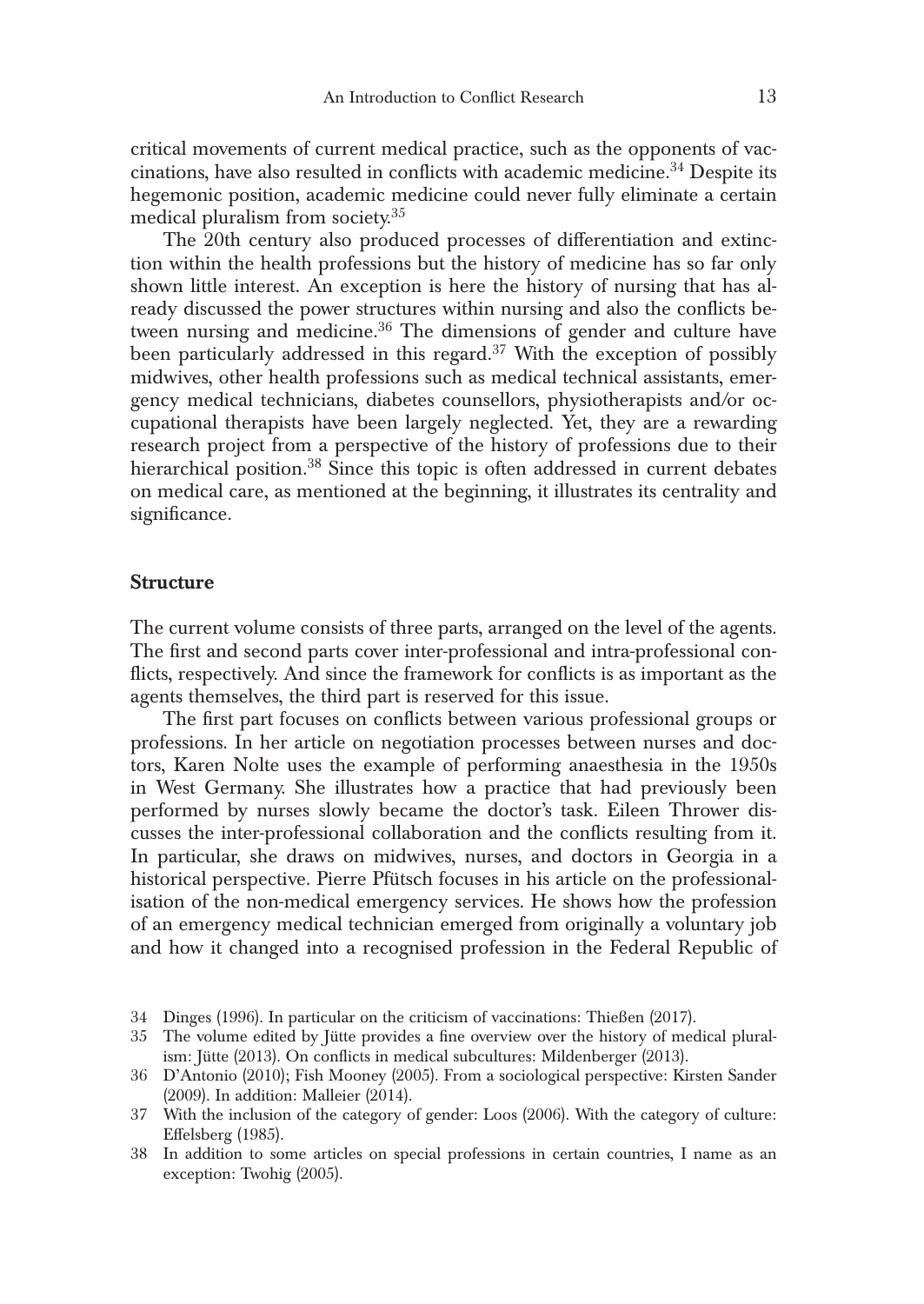critical movements of current medical practice, such as the opponents of vaccinations, have also resulted in conflicts with academic medicine.<sup>34</sup> Despite its hegemonic position, academic medicine could never fully eliminate a certain medical pluralism from society.<sup>35</sup>

The 20th century also produced processes of differentiation and extinction within the health professions but the history of medicine has so far only shown little interest. An exception is here the history of nursing that has already discussed the power structures within nursing and also the conflicts between nursing and medicine.<sup>36</sup> The dimensions of gender and culture have been particularly addressed in this regard.37 With the exception of possibly midwives, other health professions such as medical technical assistants, emergency medical technicians, diabetes counsellors, physiotherapists and/or occupational therapists have been largely neglected. Yet, they are a rewarding research project from a perspective of the history of professions due to their hierarchical position.<sup>38</sup> Since this topic is often addressed in current debates on medical care, as mentioned at the beginning, it illustrates its centrality and significance.

#### **Structure**

The current volume consists of three parts, arranged on the level of the agents. The first and second parts cover inter-professional and intra-professional conflicts, respectively. And since the framework for conflicts is as important as the agents themselves, the third part is reserved for this issue.

The first part focuses on conflicts between various professional groups or professions. In her article on negotiation processes between nurses and doctors, Karen Nolte uses the example of performing anaesthesia in the 1950s in West Germany. She illustrates how a practice that had previously been performed by nurses slowly became the doctor's task. Eileen Thrower discusses the inter-professional collaboration and the conflicts resulting from it. In particular, she draws on midwives, nurses, and doctors in Georgia in a historical perspective. Pierre Pfütsch focuses in his article on the professionalisation of the non-medical emergency services. He shows how the profession of an emergency medical technician emerged from originally a voluntary job and how it changed into a recognised profession in the Federal Republic of

<sup>34</sup> Dinges (1996). In particular on the criticism of vaccinations: Thießen (2017).

<sup>35</sup> The volume edited by Jütte provides a fine overview over the history of medical pluralism: Jütte (2013). On conflicts in medical subcultures: Mildenberger (2013).

<sup>36</sup> D'Antonio (2010); Fish Mooney (2005). From a sociological perspective: Kirsten Sander (2009). In addition: Malleier (2014).

<sup>37</sup> With the inclusion of the category of gender: Loos (2006). With the category of culture: Effelsberg (1985).

<sup>38</sup> In addition to some articles on special professions in certain countries, I name as an exception: Twohig (2005).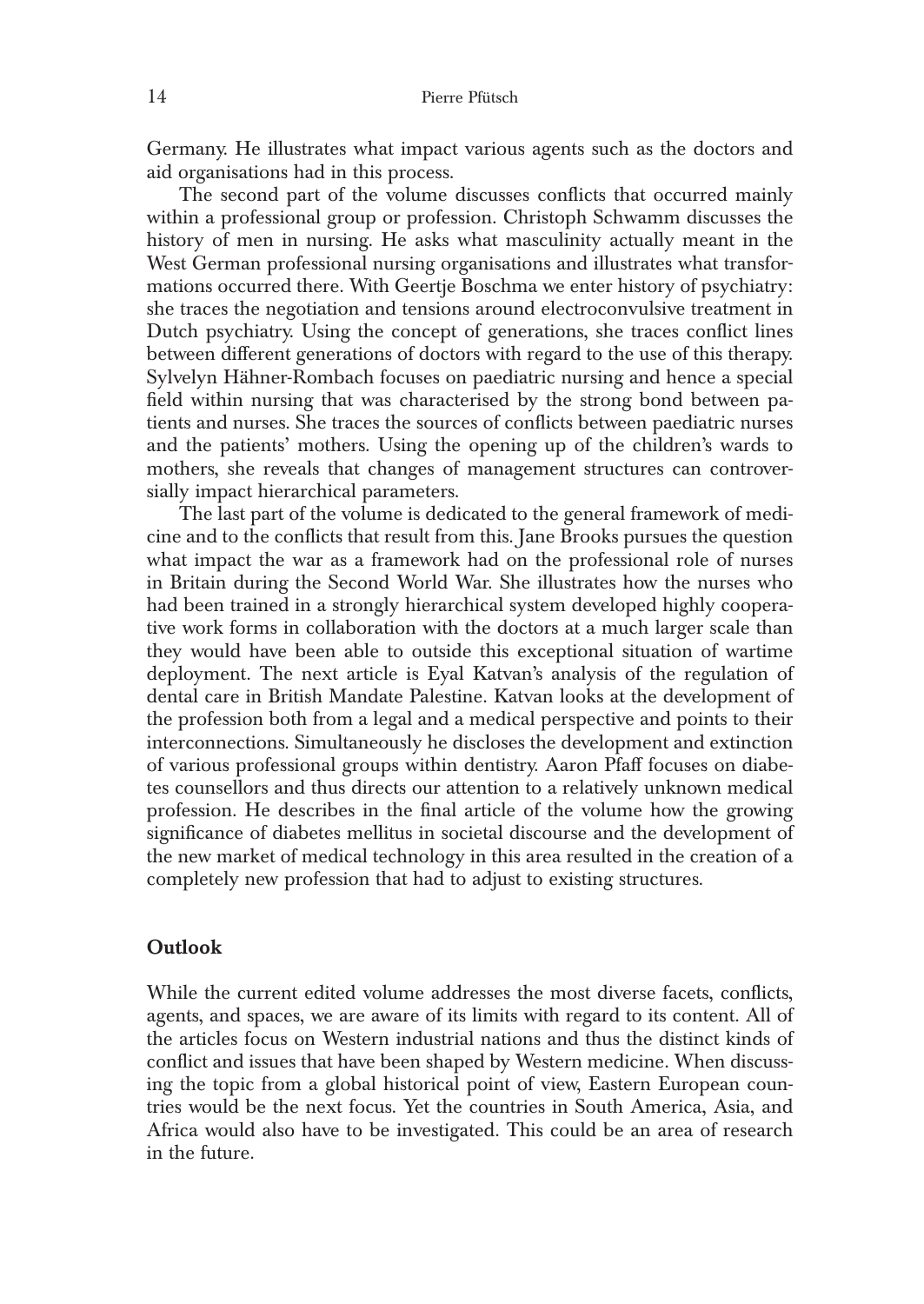Germany. He illustrates what impact various agents such as the doctors and aid organisations had in this process.

The second part of the volume discusses conflicts that occurred mainly within a professional group or profession. Christoph Schwamm discusses the history of men in nursing. He asks what masculinity actually meant in the West German professional nursing organisations and illustrates what transformations occurred there. With Geertje Boschma we enter history of psychiatry: she traces the negotiation and tensions around electroconvulsive treatment in Dutch psychiatry. Using the concept of generations, she traces conflict lines between different generations of doctors with regard to the use of this therapy. Sylvelyn Hähner-Rombach focuses on paediatric nursing and hence a special field within nursing that was characterised by the strong bond between patients and nurses. She traces the sources of conflicts between paediatric nurses and the patients' mothers. Using the opening up of the children's wards to mothers, she reveals that changes of management structures can controversially impact hierarchical parameters.

The last part of the volume is dedicated to the general framework of medicine and to the conflicts that result from this. Jane Brooks pursues the question what impact the war as a framework had on the professional role of nurses in Britain during the Second World War. She illustrates how the nurses who had been trained in a strongly hierarchical system developed highly cooperative work forms in collaboration with the doctors at a much larger scale than they would have been able to outside this exceptional situation of wartime deployment. The next article is Eyal Katvan's analysis of the regulation of dental care in British Mandate Palestine. Katvan looks at the development of the profession both from a legal and a medical perspective and points to their interconnections. Simultaneously he discloses the development and extinction of various professional groups within dentistry. Aaron Pfaff focuses on diabetes counsellors and thus directs our attention to a relatively unknown medical profession. He describes in the final article of the volume how the growing significance of diabetes mellitus in societal discourse and the development of the new market of medical technology in this area resulted in the creation of a completely new profession that had to adjust to existing structures.

#### Outlook

While the current edited volume addresses the most diverse facets, conflicts, agents, and spaces, we are aware of its limits with regard to its content. All of the articles focus on Western industrial nations and thus the distinct kinds of conflict and issues that have been shaped by Western medicine. When discussing the topic from a global historical point of view, Eastern European countries would be the next focus. Yet the countries in South America, Asia, and Africa would also have to be investigated. This could be an area of research in the future.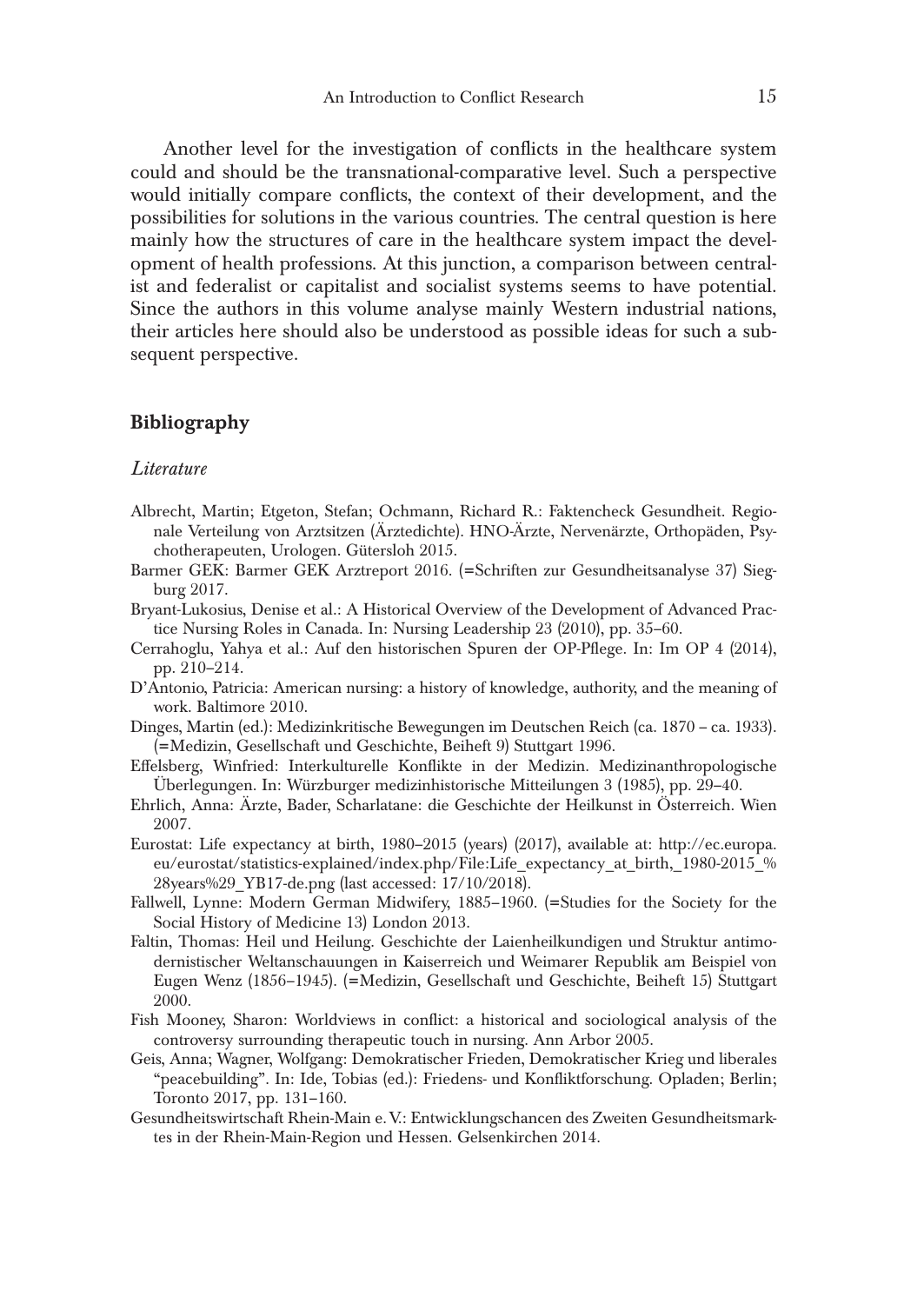Another level for the investigation of conflicts in the healthcare system could and should be the transnational-comparative level. Such a perspective would initially compare conflicts, the context of their development, and the possibilities for solutions in the various countries. The central question is here mainly how the structures of care in the healthcare system impact the development of health professions. At this junction, a comparison between centralist and federalist or capitalist and socialist systems seems to have potential. Since the authors in this volume analyse mainly Western industrial nations, their articles here should also be understood as possible ideas for such a subsequent perspective.

#### Bibliography

#### *Literature*

- Albrecht, Martin; Etgeton, Stefan; Ochmann, Richard R.: Faktencheck Gesundheit. Regionale Verteilung von Arztsitzen (Ärztedichte). HNO-Ärzte, Nervenärzte, Orthopäden, Psychotherapeuten, Urologen. Gütersloh 2015.
- Barmer GEK: Barmer GEK Arztreport 2016. (=Schriften zur Gesundheitsanalyse 37) Siegburg 2017.
- Bryant-Lukosius, Denise et al.: A Historical Overview of the Development of Advanced Practice Nursing Roles in Canada. In: Nursing Leadership 23 (2010), pp. 35–60.
- Cerrahoglu, Yahya et al.: Auf den historischen Spuren der OP-Pflege. In: Im OP 4 (2014), pp. 210–214.
- D'Antonio, Patricia: American nursing: a history of knowledge, authority, and the meaning of work. Baltimore 2010.
- Dinges, Martin (ed.): Medizinkritische Bewegungen im Deutschen Reich (ca. 1870 ca. 1933). (=Medizin, Gesellschaft und Geschichte, Beiheft 9) Stuttgart 1996.
- Effelsberg, Winfried: Interkulturelle Konflikte in der Medizin. Medizinanthropologische Überlegungen. In: Würzburger medizinhistorische Mitteilungen 3 (1985), pp. 29–40.
- Ehrlich, Anna: Ärzte, Bader, Scharlatane: die Geschichte der Heilkunst in Österreich. Wien 2007.
- Eurostat: Life expectancy at birth, 1980–2015 (years) (2017), available at: http://ec.europa. eu/eurostat/statistics-explained/index.php/File:Life\_expectancy\_at\_birth,\_1980-2015\_% 28years%29\_YB17-de.png (last accessed: 17/10/2018).
- Fallwell, Lynne: Modern German Midwifery, 1885–1960. (=Studies for the Society for the Social History of Medicine 13) London 2013.
- Faltin, Thomas: Heil und Heilung. Geschichte der Laienheilkundigen und Struktur antimodernistischer Weltanschauungen in Kaiserreich und Weimarer Republik am Beispiel von Eugen Wenz (1856–1945). (=Medizin, Gesellschaft und Geschichte, Beiheft 15) Stuttgart 2000.
- Fish Mooney, Sharon: Worldviews in conflict: a historical and sociological analysis of the controversy surrounding therapeutic touch in nursing. Ann Arbor 2005.
- Geis, Anna; Wagner, Wolfgang: Demokratischer Frieden, Demokratischer Krieg und liberales "peacebuilding". In: Ide, Tobias (ed.): Friedens- und Konfliktforschung. Opladen; Berlin; Toronto 2017, pp. 131–160.
- Gesundheitswirtschaft Rhein-Main e.V.: Entwicklungschancen des Zweiten Gesundheitsmarktes in der Rhein-Main-Region und Hessen. Gelsenkirchen 2014.